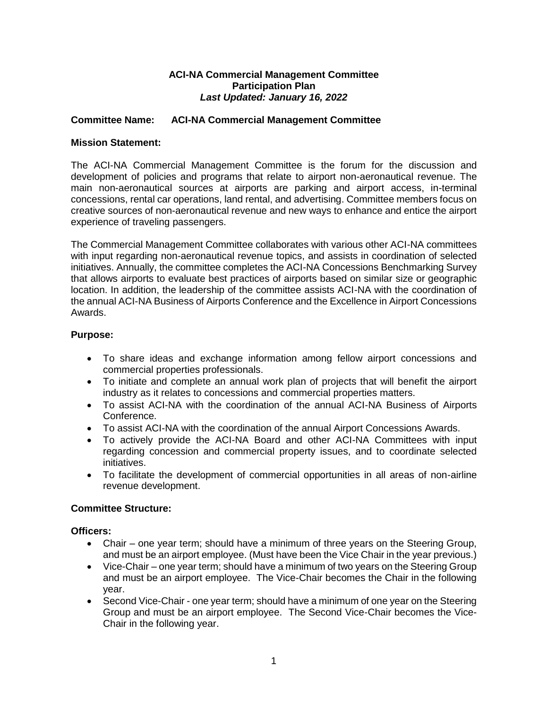## **ACI-NA Commercial Management Committee Participation Plan** *Last Updated: January 16, 2022*

## **Committee Name: ACI-NA Commercial Management Committee**

### **Mission Statement:**

The ACI-NA Commercial Management Committee is the forum for the discussion and development of policies and programs that relate to airport non-aeronautical revenue. The main non-aeronautical sources at airports are parking and airport access, in-terminal concessions, rental car operations, land rental, and advertising. Committee members focus on creative sources of non-aeronautical revenue and new ways to enhance and entice the airport experience of traveling passengers.

The Commercial Management Committee collaborates with various other ACI-NA committees with input regarding non-aeronautical revenue topics, and assists in coordination of selected initiatives. Annually, the committee completes the ACI-NA Concessions Benchmarking Survey that allows airports to evaluate best practices of airports based on similar size or geographic location. In addition, the leadership of the committee assists ACI-NA with the coordination of the annual ACI-NA Business of Airports Conference and the Excellence in Airport Concessions Awards.

## **Purpose:**

- To share ideas and exchange information among fellow airport concessions and commercial properties professionals.
- To initiate and complete an annual work plan of projects that will benefit the airport industry as it relates to concessions and commercial properties matters.
- To assist ACI-NA with the coordination of the annual ACI-NA Business of Airports Conference.
- To assist ACI-NA with the coordination of the annual Airport Concessions Awards.
- To actively provide the ACI-NA Board and other ACI-NA Committees with input regarding concession and commercial property issues, and to coordinate selected initiatives.
- To facilitate the development of commercial opportunities in all areas of non-airline revenue development.

## **Committee Structure:**

## **Officers:**

- Chair one year term; should have a minimum of three years on the Steering Group, and must be an airport employee. (Must have been the Vice Chair in the year previous.)
- Vice-Chair one year term; should have a minimum of two years on the Steering Group and must be an airport employee. The Vice-Chair becomes the Chair in the following year.
- Second Vice-Chair one year term; should have a minimum of one year on the Steering Group and must be an airport employee. The Second Vice-Chair becomes the Vice-Chair in the following year.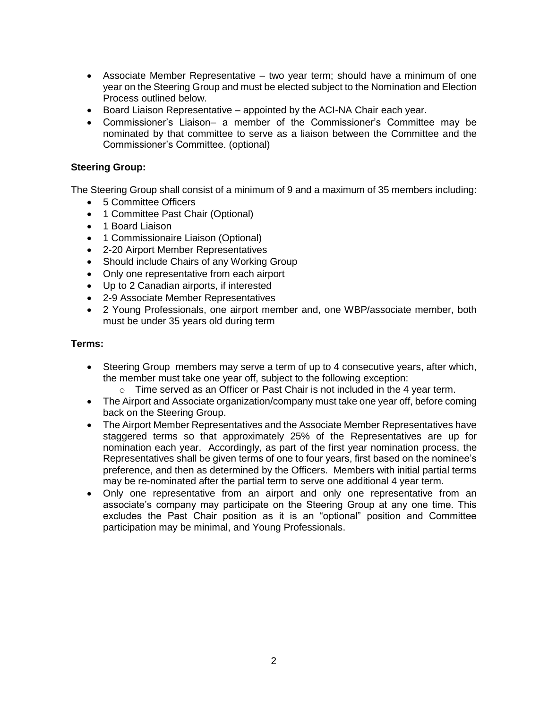- Associate Member Representative two year term; should have a minimum of one year on the Steering Group and must be elected subject to the Nomination and Election Process outlined below.
- Board Liaison Representative appointed by the ACI-NA Chair each year.
- Commissioner's Liaison– a member of the Commissioner's Committee may be nominated by that committee to serve as a liaison between the Committee and the Commissioner's Committee. (optional)

## **Steering Group:**

The Steering Group shall consist of a minimum of 9 and a maximum of 35 members including:

- 5 Committee Officers
- 1 Committee Past Chair (Optional)
- 1 Board Liaison
- 1 Commissionaire Liaison (Optional)
- 2-20 Airport Member Representatives
- Should include Chairs of any Working Group
- Only one representative from each airport
- Up to 2 Canadian airports, if interested
- 2-9 Associate Member Representatives
- 2 Young Professionals, one airport member and, one WBP/associate member, both must be under 35 years old during term

#### **Terms:**

- Steering Group members may serve a term of up to 4 consecutive years, after which, the member must take one year off, subject to the following exception:
	- $\circ$  Time served as an Officer or Past Chair is not included in the 4 year term.
- The Airport and Associate organization/company must take one year off, before coming back on the Steering Group.
- The Airport Member Representatives and the Associate Member Representatives have staggered terms so that approximately 25% of the Representatives are up for nomination each year. Accordingly, as part of the first year nomination process, the Representatives shall be given terms of one to four years, first based on the nominee's preference, and then as determined by the Officers. Members with initial partial terms may be re-nominated after the partial term to serve one additional 4 year term.
- Only one representative from an airport and only one representative from an associate's company may participate on the Steering Group at any one time. This excludes the Past Chair position as it is an "optional" position and Committee participation may be minimal, and Young Professionals.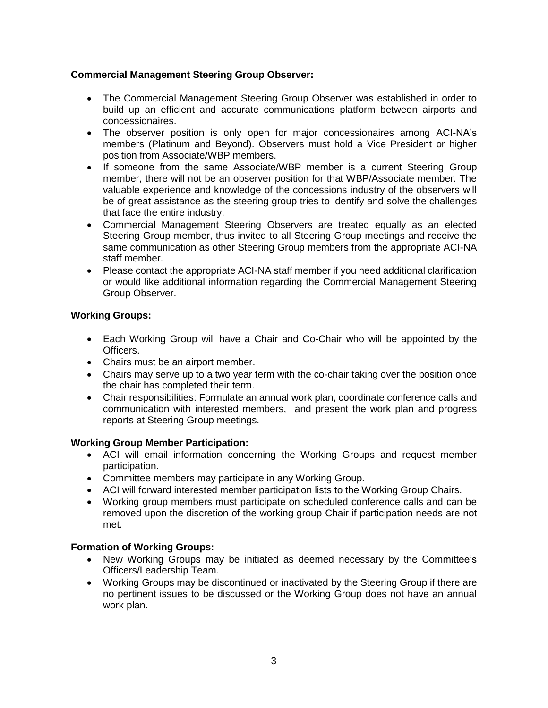# **Commercial Management Steering Group Observer:**

- The Commercial Management Steering Group Observer was established in order to build up an efficient and accurate communications platform between airports and concessionaires.
- The observer position is only open for major concessionaires among ACI-NA's members (Platinum and Beyond). Observers must hold a Vice President or higher position from Associate/WBP members.
- If someone from the same Associate/WBP member is a current Steering Group member, there will not be an observer position for that WBP/Associate member. The valuable experience and knowledge of the concessions industry of the observers will be of great assistance as the steering group tries to identify and solve the challenges that face the entire industry.
- Commercial Management Steering Observers are treated equally as an elected Steering Group member, thus invited to all Steering Group meetings and receive the same communication as other Steering Group members from the appropriate ACI-NA staff member.
- Please contact the appropriate ACI-NA staff member if you need additional clarification or would like additional information regarding the Commercial Management Steering Group Observer.

# **Working Groups:**

- Each Working Group will have a Chair and Co-Chair who will be appointed by the Officers.
- Chairs must be an airport member.
- Chairs may serve up to a two year term with the co-chair taking over the position once the chair has completed their term.
- Chair responsibilities: Formulate an annual work plan, coordinate conference calls and communication with interested members, and present the work plan and progress reports at Steering Group meetings.

## **Working Group Member Participation:**

- ACI will email information concerning the Working Groups and request member participation.
- Committee members may participate in any Working Group.
- ACI will forward interested member participation lists to the Working Group Chairs.
- Working group members must participate on scheduled conference calls and can be removed upon the discretion of the working group Chair if participation needs are not met.

## **Formation of Working Groups:**

- New Working Groups may be initiated as deemed necessary by the Committee's Officers/Leadership Team.
- Working Groups may be discontinued or inactivated by the Steering Group if there are no pertinent issues to be discussed or the Working Group does not have an annual work plan.